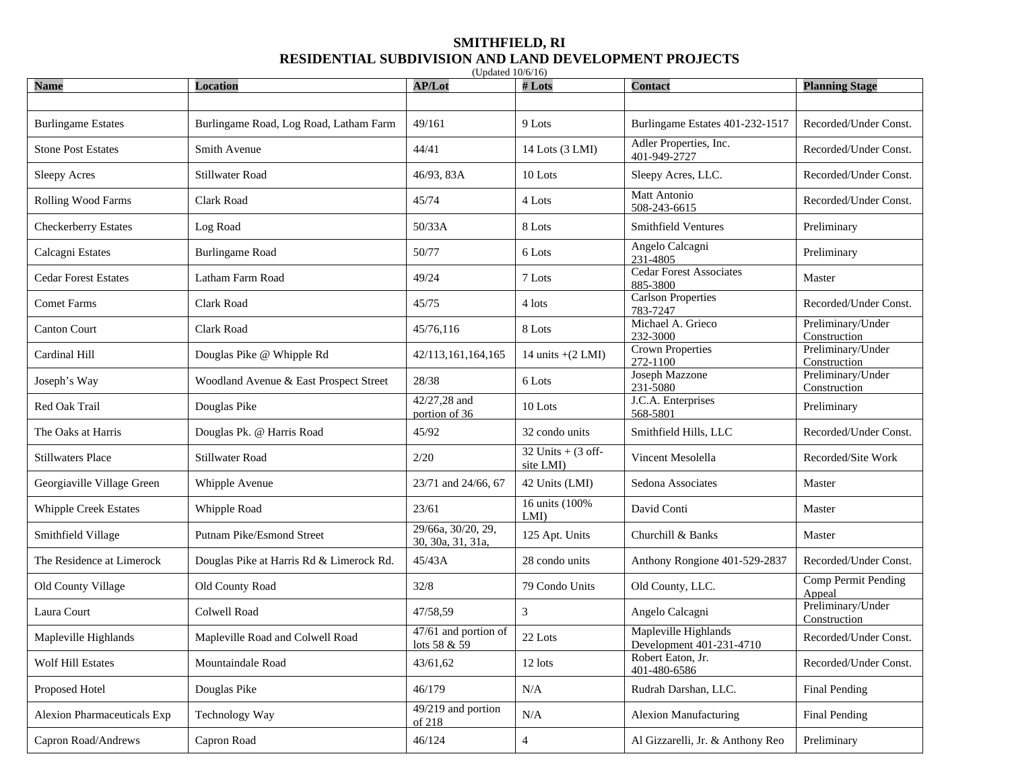## **SMITHFIELD, RI RESIDENTIAL SUBDIVISION AND LAND DEVELOPMENT PROJECTS**

| <b>Name</b>                  | <b>Location</b>                          | AP/Lot                                  | #Lots                             | <b>Contact</b>                                   | <b>Planning Stage</b>             |
|------------------------------|------------------------------------------|-----------------------------------------|-----------------------------------|--------------------------------------------------|-----------------------------------|
|                              |                                          |                                         |                                   |                                                  |                                   |
| <b>Burlingame Estates</b>    | Burlingame Road, Log Road, Latham Farm   | 49/161                                  | 9 Lots                            | Burlingame Estates 401-232-1517                  | Recorded/Under Const.             |
| <b>Stone Post Estates</b>    | Smith Avenue                             | 44/41                                   | 14 Lots (3 LMI)                   | Adler Properties, Inc.<br>401-949-2727           | Recorded/Under Const.             |
| <b>Sleepy Acres</b>          | Stillwater Road                          | 46/93, 83A                              | 10 Lots                           | Sleepy Acres, LLC.                               | Recorded/Under Const.             |
| <b>Rolling Wood Farms</b>    | Clark Road                               | 45/74                                   | 4 Lots                            | Matt Antonio<br>508-243-6615                     | Recorded/Under Const.             |
| Checkerberry Estates         | Log Road                                 | 50/33A                                  | 8 Lots                            | Smithfield Ventures                              | Preliminary                       |
| Calcagni Estates             | <b>Burlingame Road</b>                   | 50/77                                   | 6 Lots                            | Angelo Calcagni<br>231-4805                      | Preliminary                       |
| <b>Cedar Forest Estates</b>  | Latham Farm Road                         | 49/24                                   | 7 Lots                            | <b>Cedar Forest Associates</b><br>885-3800       | Master                            |
| <b>Comet Farms</b>           | Clark Road                               | 45/75                                   | 4 lots                            | <b>Carlson Properties</b><br>783-7247            | Recorded/Under Const.             |
| <b>Canton Court</b>          | Clark Road                               | 45/76,116                               | 8 Lots                            | Michael A. Grieco<br>232-3000                    | Preliminary/Under<br>Construction |
| Cardinal Hill                | Douglas Pike @ Whipple Rd                | 42/113,161,164,165                      | 14 units $+(2 LMI)$               | <b>Crown Properties</b><br>272-1100              | Preliminary/Under<br>Construction |
| Joseph's Way                 | Woodland Avenue & East Prospect Street   | 28/38                                   | 6 Lots                            | Joseph Mazzone<br>231-5080                       | Preliminary/Under<br>Construction |
| Red Oak Trail                | Douglas Pike                             | 42/27,28 and<br>portion of 36           | 10 Lots                           | J.C.A. Enterprises<br>568-5801                   | Preliminary                       |
| The Oaks at Harris           | Douglas Pk. @ Harris Road                | 45/92                                   | 32 condo units                    | Smithfield Hills, LLC                            | Recorded/Under Const.             |
| <b>Stillwaters Place</b>     | <b>Stillwater Road</b>                   | 2/20                                    | 32 Units $+$ (3 off-<br>site LMI) | Vincent Mesolella                                | Recorded/Site Work                |
| Georgiaville Village Green   | Whipple Avenue                           | 23/71 and 24/66, 67                     | 42 Units (LMI)                    | Sedona Associates                                | Master                            |
| <b>Whipple Creek Estates</b> | Whipple Road                             | 23/61                                   | 16 units (100%<br>LMI             | David Conti                                      | Master                            |
| Smithfield Village           | Putnam Pike/Esmond Street                | 29/66a, 30/20, 29,<br>30, 30a, 31, 31a, | 125 Apt. Units                    | Churchill & Banks                                | Master                            |
| The Residence at Limerock    | Douglas Pike at Harris Rd & Limerock Rd. | 45/43A                                  | 28 condo units                    | Anthony Rongione 401-529-2837                    | Recorded/Under Const.             |
| Old County Village           | Old County Road                          | 32/8                                    | 79 Condo Units                    | Old County, LLC.                                 | Comp Permit Pending<br>Appeal     |
| Laura Court                  | Colwell Road                             | 47/58,59                                | 3                                 | Angelo Calcagni                                  | Preliminary/Under<br>Construction |
| Mapleville Highlands         | Mapleville Road and Colwell Road         | 47/61 and portion of<br>lots 58 & 59    | 22 Lots                           | Mapleville Highlands<br>Development 401-231-4710 | Recorded/Under Const.             |
| <b>Wolf Hill Estates</b>     | Mountaindale Road                        | 43/61,62                                | 12 lots                           | Robert Eaton, Jr.<br>401-480-6586                | Recorded/Under Const.             |
| Proposed Hotel               | Douglas Pike                             | 46/179                                  | N/A                               | Rudrah Darshan, LLC.                             | Final Pending                     |
| Alexion Pharmaceuticals Exp  | Technology Way                           | 49/219 and portion<br>of 218            | N/A                               | <b>Alexion Manufacturing</b>                     | Final Pending                     |
| Capron Road/Andrews          | Capron Road                              | 46/124                                  | 4                                 | Al Gizzarelli, Jr. & Anthony Reo                 | Preliminary                       |